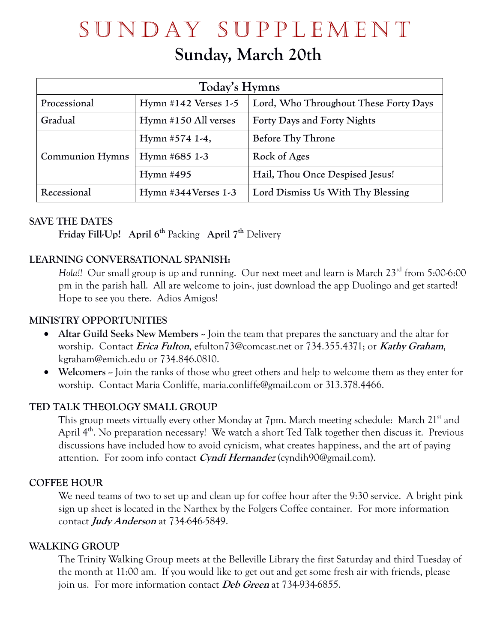# SUNDAY SUPPLEMENT

# **Sunday, March 20th**

| Today's Hymns          |                        |                                       |  |  |
|------------------------|------------------------|---------------------------------------|--|--|
| Processional           | Hymn $#142$ Verses 1-5 | Lord, Who Throughout These Forty Days |  |  |
| Gradual                | Hymn #150 All verses   | Forty Days and Forty Nights           |  |  |
| <b>Communion Hymns</b> | Hymn #574 1-4,         | Before Thy Throne                     |  |  |
|                        | Hymn #685 1-3          | Rock of Ages                          |  |  |
|                        | Hymn $#495$            | Hail, Thou Once Despised Jesus!       |  |  |
| Recessional            | Hymn #344Verses 1-3    | Lord Dismiss Us With Thy Blessing     |  |  |

# **SAVE THE DATES**

**Friday Fill-Up! April 6 th** Packing **April 7 th** Delivery

# **LEARNING CONVERSATIONAL SPANISH:**

*Hola!!* Our small group is up and running. Our next meet and learn is March 23<sup>rd</sup> from 5:00-6:00 pm in the parish hall. All are welcome to join-, just download the app Duolingo and get started! Hope to see you there. Adios Amigos!

# **MINISTRY OPPORTUNITIES**

- Altar Guild Seeks New Members ~ Join the team that prepares the sanctuary and the altar for worship. Contact **Erica Fulton**, efulton73@comcast.net or 734.355.4371; or **Kathy Graham**, kgraham@emich.edu or 734.846.0810.
- **Welcomers** Join the ranks of those who greet others and help to welcome them as they enter for worship. Contact Maria Conliffe, maria.conliffe@gmail.com or 313.378.4466.

#### **TED TALK THEOLOGY SMALL GROUP**

This group meets virtually every other Monday at 7pm. March meeting schedule: March 21<sup>st</sup> and April  $4^{\text{th}}$ . No preparation necessary! We watch a short Ted Talk together then discuss it. Previous discussions have included how to avoid cynicism, what creates happiness, and the art of paying attention. For zoom info contact **Cyndi Hernandez** (cyndih90@gmail.com).

#### **COFFEE HOUR**

We need teams of two to set up and clean up for coffee hour after the 9:30 service. A bright pink sign up sheet is located in the Narthex by the Folgers Coffee container. For more information contact **Judy Anderson** at 734-646-5849.

#### **WALKING GROUP**

The Trinity Walking Group meets at the Belleville Library the first Saturday and third Tuesday of the month at 11:00 am. If you would like to get out and get some fresh air with friends, please join us. For more information contact **Deb Green** at 734-934-6855.